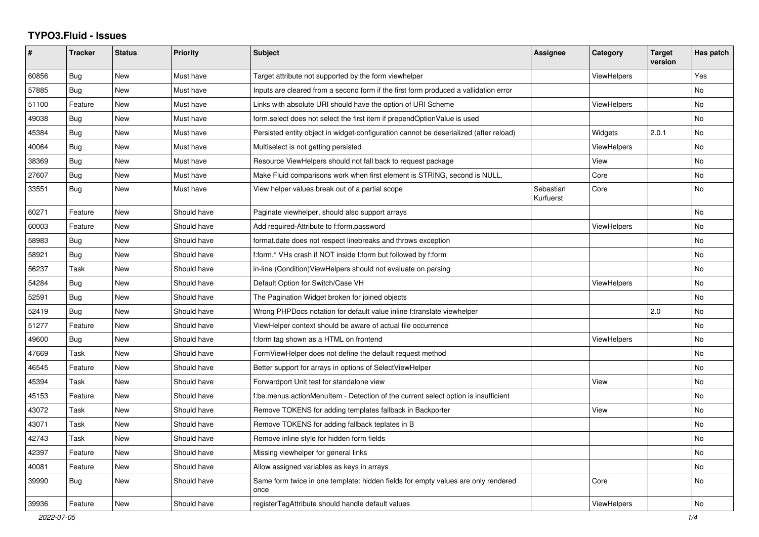## **TYPO3.Fluid - Issues**

| #     | <b>Tracker</b> | <b>Status</b> | <b>Priority</b> | <b>Subject</b>                                                                            | Assignee               | Category           | <b>Target</b><br>version | Has patch |
|-------|----------------|---------------|-----------------|-------------------------------------------------------------------------------------------|------------------------|--------------------|--------------------------|-----------|
| 60856 | Bug            | New           | Must have       | Target attribute not supported by the form viewhelper                                     |                        | ViewHelpers        |                          | Yes       |
| 57885 | Bug            | New           | Must have       | Inputs are cleared from a second form if the first form produced a vallidation error      |                        |                    |                          | No        |
| 51100 | Feature        | New           | Must have       | Links with absolute URI should have the option of URI Scheme                              |                        | ViewHelpers        |                          | No        |
| 49038 | Bug            | New           | Must have       | form.select does not select the first item if prependOptionValue is used                  |                        |                    |                          | <b>No</b> |
| 45384 | <b>Bug</b>     | <b>New</b>    | Must have       | Persisted entity object in widget-configuration cannot be deserialized (after reload)     |                        | Widgets            | 2.0.1                    | <b>No</b> |
| 40064 | Bug            | New           | Must have       | Multiselect is not getting persisted                                                      |                        | <b>ViewHelpers</b> |                          | <b>No</b> |
| 38369 | Bug            | New           | Must have       | Resource ViewHelpers should not fall back to request package                              |                        | View               |                          | <b>No</b> |
| 27607 | <b>Bug</b>     | New           | Must have       | Make Fluid comparisons work when first element is STRING, second is NULL.                 |                        | Core               |                          | <b>No</b> |
| 33551 | Bug            | New           | Must have       | View helper values break out of a partial scope                                           | Sebastian<br>Kurfuerst | Core               |                          | No        |
| 60271 | Feature        | New           | Should have     | Paginate viewhelper, should also support arrays                                           |                        |                    |                          | No        |
| 60003 | Feature        | New           | Should have     | Add required-Attribute to f:form.password                                                 |                        | <b>ViewHelpers</b> |                          | No        |
| 58983 | <b>Bug</b>     | New           | Should have     | format.date does not respect linebreaks and throws exception                              |                        |                    |                          | No        |
| 58921 | <b>Bug</b>     | New           | Should have     | f:form.* VHs crash if NOT inside f:form but followed by f:form                            |                        |                    |                          | No        |
| 56237 | Task           | <b>New</b>    | Should have     | in-line (Condition) View Helpers should not evaluate on parsing                           |                        |                    |                          | No        |
| 54284 | Bug            | New           | Should have     | Default Option for Switch/Case VH                                                         |                        | <b>ViewHelpers</b> |                          | <b>No</b> |
| 52591 | Bug            | New           | Should have     | The Pagination Widget broken for joined objects                                           |                        |                    |                          | No        |
| 52419 | Bug            | New           | Should have     | Wrong PHPDocs notation for default value inline f:translate viewhelper                    |                        |                    | 2.0                      | No        |
| 51277 | Feature        | New           | Should have     | ViewHelper context should be aware of actual file occurrence                              |                        |                    |                          | No        |
| 49600 | Bug            | New           | Should have     | f:form tag shown as a HTML on frontend                                                    |                        | <b>ViewHelpers</b> |                          | No        |
| 47669 | Task           | <b>New</b>    | Should have     | FormViewHelper does not define the default request method                                 |                        |                    |                          | <b>No</b> |
| 46545 | Feature        | New           | Should have     | Better support for arrays in options of SelectViewHelper                                  |                        |                    |                          | No        |
| 45394 | Task           | New           | Should have     | Forwardport Unit test for standalone view                                                 |                        | View               |                          | No        |
| 45153 | Feature        | New           | Should have     | f:be.menus.actionMenuItem - Detection of the current select option is insufficient        |                        |                    |                          | <b>No</b> |
| 43072 | Task           | New           | Should have     | Remove TOKENS for adding templates fallback in Backporter                                 |                        | View               |                          | <b>No</b> |
| 43071 | Task           | New           | Should have     | Remove TOKENS for adding fallback teplates in B                                           |                        |                    |                          | No        |
| 42743 | Task           | New           | Should have     | Remove inline style for hidden form fields                                                |                        |                    |                          | No        |
| 42397 | Feature        | New           | Should have     | Missing viewhelper for general links                                                      |                        |                    |                          | No        |
| 40081 | Feature        | <b>New</b>    | Should have     | Allow assigned variables as keys in arrays                                                |                        |                    |                          | No        |
| 39990 | Bug            | New           | Should have     | Same form twice in one template: hidden fields for empty values are only rendered<br>once |                        | Core               |                          | <b>No</b> |
| 39936 | Feature        | <b>New</b>    | Should have     | registerTagAttribute should handle default values                                         |                        | ViewHelpers        |                          | No        |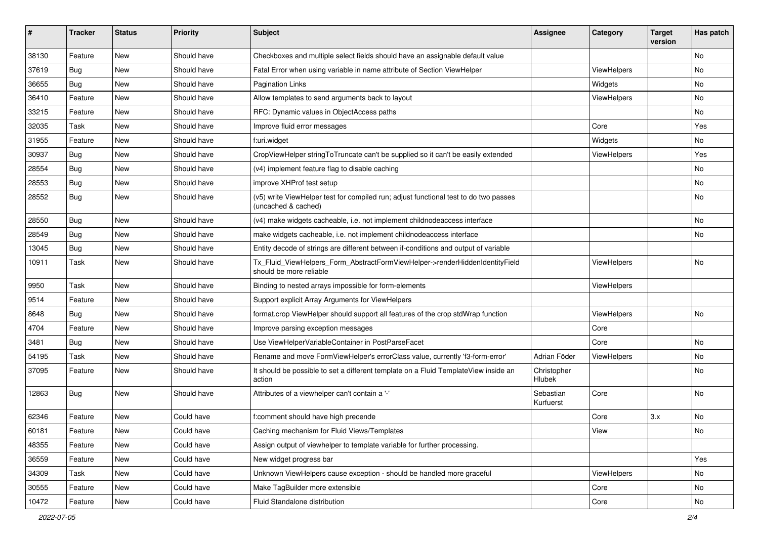| #     | <b>Tracker</b> | <b>Status</b> | <b>Priority</b> | Subject                                                                                                     | <b>Assignee</b>        | Category           | <b>Target</b><br>version | Has patch |
|-------|----------------|---------------|-----------------|-------------------------------------------------------------------------------------------------------------|------------------------|--------------------|--------------------------|-----------|
| 38130 | Feature        | New           | Should have     | Checkboxes and multiple select fields should have an assignable default value                               |                        |                    |                          | <b>No</b> |
| 37619 | Bug            | New           | Should have     | Fatal Error when using variable in name attribute of Section ViewHelper                                     |                        | ViewHelpers        |                          | No        |
| 36655 | Bug            | New           | Should have     | Pagination Links                                                                                            |                        | Widgets            |                          | No        |
| 36410 | Feature        | New           | Should have     | Allow templates to send arguments back to layout                                                            |                        | ViewHelpers        |                          | No        |
| 33215 | Feature        | New           | Should have     | RFC: Dynamic values in ObjectAccess paths                                                                   |                        |                    |                          | No        |
| 32035 | Task           | New           | Should have     | Improve fluid error messages                                                                                |                        | Core               |                          | Yes       |
| 31955 | Feature        | New           | Should have     | f:uri.widget                                                                                                |                        | Widgets            |                          | No        |
| 30937 | Bug            | New           | Should have     | CropViewHelper stringToTruncate can't be supplied so it can't be easily extended                            |                        | ViewHelpers        |                          | Yes       |
| 28554 | Bug            | New           | Should have     | (v4) implement feature flag to disable caching                                                              |                        |                    |                          | No        |
| 28553 | Bug            | New           | Should have     | improve XHProf test setup                                                                                   |                        |                    |                          | No        |
| 28552 | Bug            | New           | Should have     | (v5) write ViewHelper test for compiled run; adjust functional test to do two passes<br>(uncached & cached) |                        |                    |                          | No        |
| 28550 | Bug            | New           | Should have     | (v4) make widgets cacheable, i.e. not implement childnodeaccess interface                                   |                        |                    |                          | No        |
| 28549 | <b>Bug</b>     | New           | Should have     | make widgets cacheable, i.e. not implement childnodeaccess interface                                        |                        |                    |                          | No        |
| 13045 | Bug            | New           | Should have     | Entity decode of strings are different between if-conditions and output of variable                         |                        |                    |                          |           |
| 10911 | Task           | New           | Should have     | Tx_Fluid_ViewHelpers_Form_AbstractFormViewHelper->renderHiddenIdentityField<br>should be more reliable      |                        | ViewHelpers        |                          | No        |
| 9950  | Task           | New           | Should have     | Binding to nested arrays impossible for form-elements                                                       |                        | <b>ViewHelpers</b> |                          |           |
| 9514  | Feature        | New           | Should have     | Support explicit Array Arguments for ViewHelpers                                                            |                        |                    |                          |           |
| 8648  | Bug            | New           | Should have     | format.crop ViewHelper should support all features of the crop stdWrap function                             |                        | ViewHelpers        |                          | No        |
| 4704  | Feature        | New           | Should have     | Improve parsing exception messages                                                                          |                        | Core               |                          |           |
| 3481  | Bug            | New           | Should have     | Use ViewHelperVariableContainer in PostParseFacet                                                           |                        | Core               |                          | No        |
| 54195 | Task           | New           | Should have     | Rename and move FormViewHelper's errorClass value, currently 'f3-form-error'                                | Adrian Föder           | ViewHelpers        |                          | No        |
| 37095 | Feature        | New           | Should have     | It should be possible to set a different template on a Fluid TemplateView inside an<br>action               | Christopher<br>Hlubek  |                    |                          | No        |
| 12863 | Bug            | New           | Should have     | Attributes of a viewhelper can't contain a '-'                                                              | Sebastian<br>Kurfuerst | Core               |                          | No        |
| 62346 | Feature        | New           | Could have      | f:comment should have high precende                                                                         |                        | Core               | 3.x                      | No        |
| 60181 | Feature        | New           | Could have      | Caching mechanism for Fluid Views/Templates                                                                 |                        | View               |                          | ΝO        |
| 48355 | Feature        | New           | Could have      | Assign output of viewhelper to template variable for further processing.                                    |                        |                    |                          |           |
| 36559 | Feature        | New           | Could have      | New widget progress bar                                                                                     |                        |                    |                          | Yes       |
| 34309 | Task           | New           | Could have      | Unknown ViewHelpers cause exception - should be handled more graceful                                       |                        | ViewHelpers        |                          | No        |
| 30555 | Feature        | New           | Could have      | Make TagBuilder more extensible                                                                             |                        | Core               |                          | No        |
| 10472 | Feature        | New           | Could have      | Fluid Standalone distribution                                                                               |                        | Core               |                          | No        |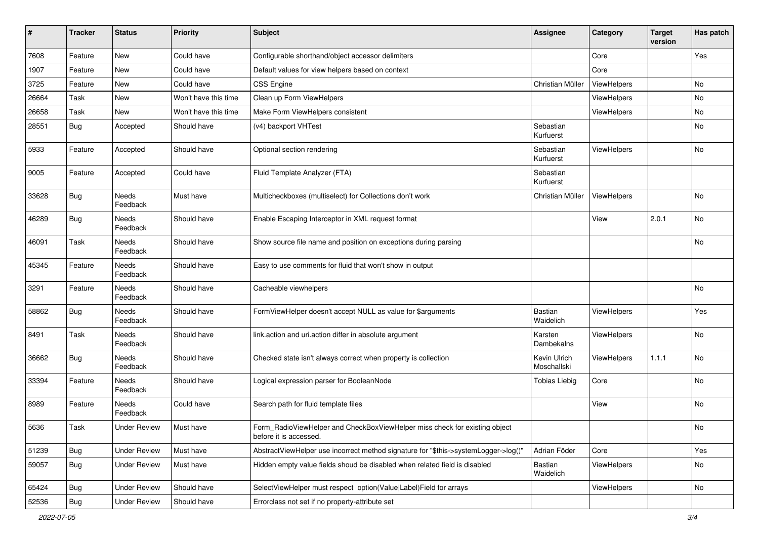| #     | <b>Tracker</b> | <b>Status</b>            | <b>Priority</b>      | <b>Subject</b>                                                                                       | <b>Assignee</b>             | Category    | <b>Target</b><br>version | Has patch |
|-------|----------------|--------------------------|----------------------|------------------------------------------------------------------------------------------------------|-----------------------------|-------------|--------------------------|-----------|
| 7608  | Feature        | New                      | Could have           | Configurable shorthand/object accessor delimiters                                                    |                             | Core        |                          | Yes       |
| 1907  | Feature        | New                      | Could have           | Default values for view helpers based on context                                                     |                             | Core        |                          |           |
| 3725  | Feature        | New                      | Could have           | <b>CSS Engine</b>                                                                                    | Christian Müller            | ViewHelpers |                          | No        |
| 26664 | Task           | New                      | Won't have this time | Clean up Form ViewHelpers                                                                            |                             | ViewHelpers |                          | No        |
| 26658 | Task           | New                      | Won't have this time | Make Form ViewHelpers consistent                                                                     |                             | ViewHelpers |                          | No        |
| 28551 | <b>Bug</b>     | Accepted                 | Should have          | (v4) backport VHTest                                                                                 | Sebastian<br>Kurfuerst      |             |                          | No        |
| 5933  | Feature        | Accepted                 | Should have          | Optional section rendering                                                                           | Sebastian<br>Kurfuerst      | ViewHelpers |                          | <b>No</b> |
| 9005  | Feature        | Accepted                 | Could have           | Fluid Template Analyzer (FTA)                                                                        | Sebastian<br>Kurfuerst      |             |                          |           |
| 33628 | <b>Bug</b>     | <b>Needs</b><br>Feedback | Must have            | Multicheckboxes (multiselect) for Collections don't work                                             | Christian Müller            | ViewHelpers |                          | No        |
| 46289 | Bug            | Needs<br>Feedback        | Should have          | Enable Escaping Interceptor in XML request format                                                    |                             | View        | 2.0.1                    | No        |
| 46091 | Task           | Needs<br>Feedback        | Should have          | Show source file name and position on exceptions during parsing                                      |                             |             |                          | No        |
| 45345 | Feature        | Needs<br>Feedback        | Should have          | Easy to use comments for fluid that won't show in output                                             |                             |             |                          |           |
| 3291  | Feature        | Needs<br>Feedback        | Should have          | Cacheable viewhelpers                                                                                |                             |             |                          | No        |
| 58862 | Bug            | Needs<br>Feedback        | Should have          | FormViewHelper doesn't accept NULL as value for \$arguments                                          | Bastian<br>Waidelich        | ViewHelpers |                          | Yes       |
| 8491  | Task           | Needs<br>Feedback        | Should have          | link.action and uri.action differ in absolute argument                                               | Karsten<br>Dambekalns       | ViewHelpers |                          | <b>No</b> |
| 36662 | <b>Bug</b>     | <b>Needs</b><br>Feedback | Should have          | Checked state isn't always correct when property is collection                                       | Kevin Ulrich<br>Moschallski | ViewHelpers | 1.1.1                    | No        |
| 33394 | Feature        | Needs<br>Feedback        | Should have          | Logical expression parser for BooleanNode                                                            | <b>Tobias Liebig</b>        | Core        |                          | No        |
| 8989  | Feature        | Needs<br>Feedback        | Could have           | Search path for fluid template files                                                                 |                             | View        |                          | <b>No</b> |
| 5636  | Task           | Under Review             | Must have            | Form_RadioViewHelper and CheckBoxViewHelper miss check for existing object<br>before it is accessed. |                             |             |                          | No        |
| 51239 | <b>Bug</b>     | <b>Under Review</b>      | Must have            | AbstractViewHelper use incorrect method signature for "\$this->systemLogger->log()"                  | Adrian Föder                | Core        |                          | Yes       |
| 59057 | <b>Bug</b>     | <b>Under Review</b>      | Must have            | Hidden empty value fields shoud be disabled when related field is disabled                           | Bastian<br>Waidelich        | ViewHelpers |                          | No        |
| 65424 | <b>Bug</b>     | <b>Under Review</b>      | Should have          | SelectViewHelper must respect option(Value Label)Field for arrays                                    |                             | ViewHelpers |                          | No        |
| 52536 | Bug            | <b>Under Review</b>      | Should have          | Errorclass not set if no property-attribute set                                                      |                             |             |                          |           |